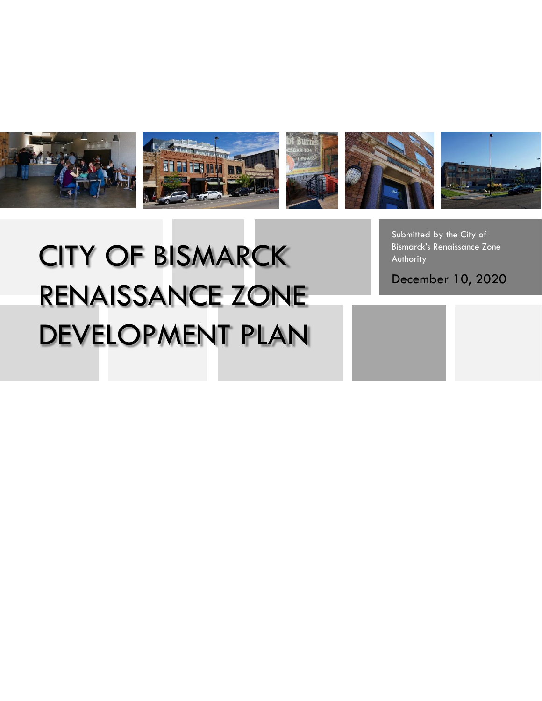

# CITY OF BISMARCK RENAISSANCE ZONE DEVELOPMENT PLAN

Submitted by the City of Bismarck's Renaissance Zone Authority

December 10, 2020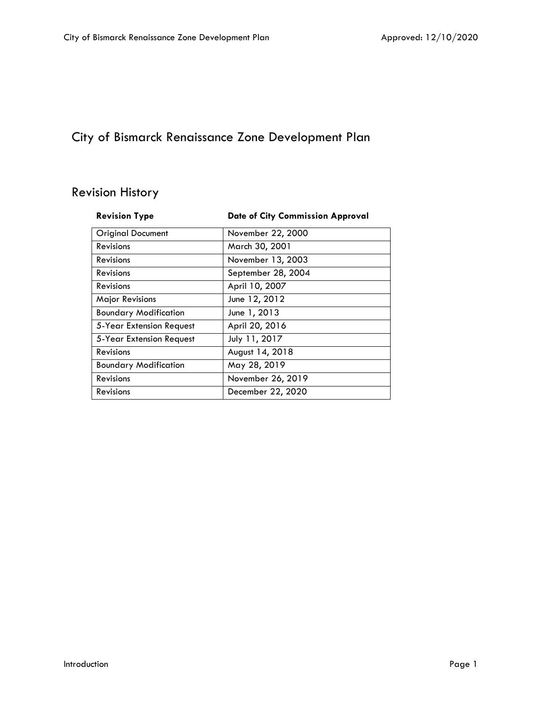# City of Bismarck Renaissance Zone Development Plan

# Revision History

| <b>Revision Type</b>         | <b>Date of City Commission Approval</b> |
|------------------------------|-----------------------------------------|
| <b>Original Document</b>     | November 22, 2000                       |
| Revisions                    | March 30, 2001                          |
| Revisions                    | November 13, 2003                       |
| Revisions                    | September 28, 2004                      |
| Revisions                    | April 10, 2007                          |
| Major Revisions              | June 12, 2012                           |
| <b>Boundary Modification</b> | June 1, 2013                            |
| 5-Year Extension Request     | April 20, 2016                          |
| 5-Year Extension Request     | July 11, 2017                           |
| <b>Revisions</b>             | August 14, 2018                         |
| <b>Boundary Modification</b> | May 28, 2019                            |
| Revisions                    | November 26, 2019                       |
| Revisions                    | December 22, 2020                       |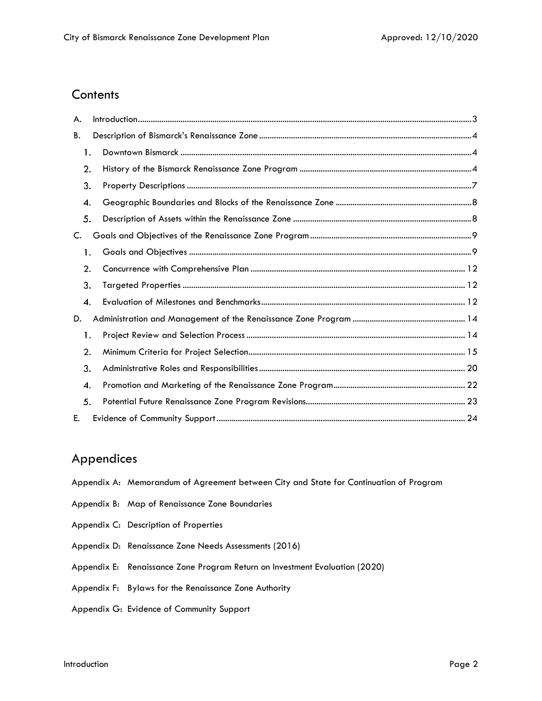# **Contents**

| А. |  |  |
|----|--|--|
| В. |  |  |
| 1. |  |  |
| 2. |  |  |
| 3. |  |  |
| 4. |  |  |
| 5. |  |  |
| C. |  |  |
| 1. |  |  |
| 2. |  |  |
| 3. |  |  |
| 4. |  |  |
| D. |  |  |
| 1. |  |  |
| 2. |  |  |
| 3. |  |  |
| 4. |  |  |
| 5. |  |  |
| Е. |  |  |

# Appendices

- Appendix A: Memorandum of Agreement between City and State for Continuation of Program
- Appendix B: Map of Renaissance Zone Boundaries
- Appendix C: Description of Properties
- Appendix D: Renaissance Zone Needs Assessments (2016)
- Appendix E: Renaissance Zone Program Return on Investment Evaluation (2020)
- Appendix F: Bylaws for the Renaissance Zone Authority
- Appendix G: Evidence of Community Support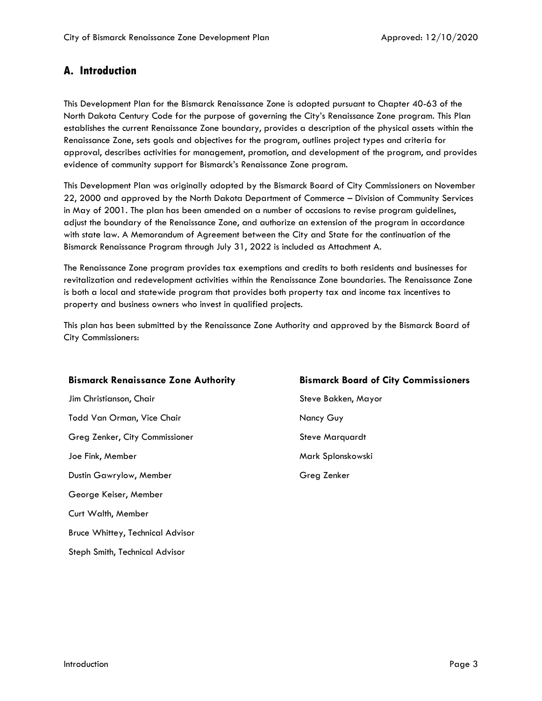# <span id="page-3-0"></span>**A. Introduction**

This Development Plan for the Bismarck Renaissance Zone is adopted pursuant to Chapter 40-63 of the North Dakota Century Code for the purpose of governing the City's Renaissance Zone program. This Plan establishes the current Renaissance Zone boundary, provides a description of the physical assets within the Renaissance Zone, sets goals and objectives for the program, outlines project types and criteria for approval, describes activities for management, promotion, and development of the program, and provides evidence of community support for Bismarck's Renaissance Zone program.

This Development Plan was originally adopted by the Bismarck Board of City Commissioners on November 22, 2000 and approved by the North Dakota Department of Commerce – Division of Community Services in May of 2001. The plan has been amended on a number of occasions to revise program guidelines, adjust the boundary of the Renaissance Zone, and authorize an extension of the program in accordance with state law. A Memorandum of Agreement between the City and State for the continuation of the Bismarck Renaissance Program through July 31, 2022 is included as Attachment A.

The Renaissance Zone program provides tax exemptions and credits to both residents and businesses for revitalization and redevelopment activities within the Renaissance Zone boundaries. The Renaissance Zone is both a local and statewide program that provides both property tax and income tax incentives to property and business owners who invest in qualified projects.

This plan has been submitted by the Renaissance Zone Authority and approved by the Bismarck Board of City Commissioners:

#### **Bismarck Renaissance Zone Authority Bismarck Board of City Commissioners**

Jim Christianson, Chair Steve Bakken, Mayor Todd Van Orman, Vice Chair Nancy Guy Greg Zenker, City Commissioner Steve Marquardt Joe Fink, Member Mark Splonskowski Dustin Gawrylow, Member Greg Zenker George Keiser, Member Curt Walth, Member Bruce Whittey, Technical Advisor Steph Smith, Technical Advisor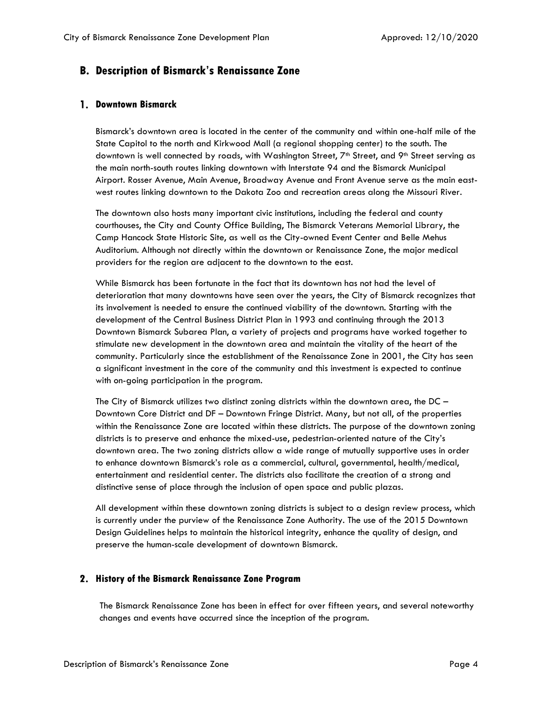# <span id="page-4-0"></span>**B. Description of Bismarck's Renaissance Zone**

#### <span id="page-4-1"></span>**Downtown Bismarck**

Bismarck's downtown area is located in the center of the community and within one-half mile of the State Capitol to the north and Kirkwood Mall (a regional shopping center) to the south. The downtown is well connected by roads, with Washington Street, 7<sup>th</sup> Street, and 9<sup>th</sup> Street serving as the main north-south routes linking downtown with Interstate 94 and the Bismarck Municipal Airport. Rosser Avenue, Main Avenue, Broadway Avenue and Front Avenue serve as the main eastwest routes linking downtown to the Dakota Zoo and recreation areas along the Missouri River.

The downtown also hosts many important civic institutions, including the federal and county courthouses, the City and County Office Building, The Bismarck Veterans Memorial Library, the Camp Hancock State Historic Site, as well as the City-owned Event Center and Belle Mehus Auditorium. Although not directly within the downtown or Renaissance Zone, the major medical providers for the region are adjacent to the downtown to the east.

While Bismarck has been fortunate in the fact that its downtown has not had the level of deterioration that many downtowns have seen over the years, the City of Bismarck recognizes that its involvement is needed to ensure the continued viability of the downtown. Starting with the development of the Central Business District Plan in 1993 and continuing through the 2013 Downtown Bismarck Subarea Plan, a variety of projects and programs have worked together to stimulate new development in the downtown area and maintain the vitality of the heart of the community. Particularly since the establishment of the Renaissance Zone in 2001, the City has seen a significant investment in the core of the community and this investment is expected to continue with on-going participation in the program.

The City of Bismarck utilizes two distinct zoning districts within the downtown area, the  $DC -$ Downtown Core District and DF – Downtown Fringe District. Many, but not all, of the properties within the Renaissance Zone are located within these districts. The purpose of the downtown zoning districts is to preserve and enhance the mixed-use, pedestrian-oriented nature of the City's downtown area. The two zoning districts allow a wide range of mutually supportive uses in order to enhance downtown Bismarck's role as a commercial, cultural, governmental, health/medical, entertainment and residential center. The districts also facilitate the creation of a strong and distinctive sense of place through the inclusion of open space and public plazas.

All development within these downtown zoning districts is subject to a design review process, which is currently under the purview of the Renaissance Zone Authority. The use of the 2015 Downtown Design Guidelines helps to maintain the historical integrity, enhance the quality of design, and preserve the human-scale development of downtown Bismarck.

#### <span id="page-4-2"></span>**History of the Bismarck Renaissance Zone Program**

The Bismarck Renaissance Zone has been in effect for over fifteen years, and several noteworthy changes and events have occurred since the inception of the program.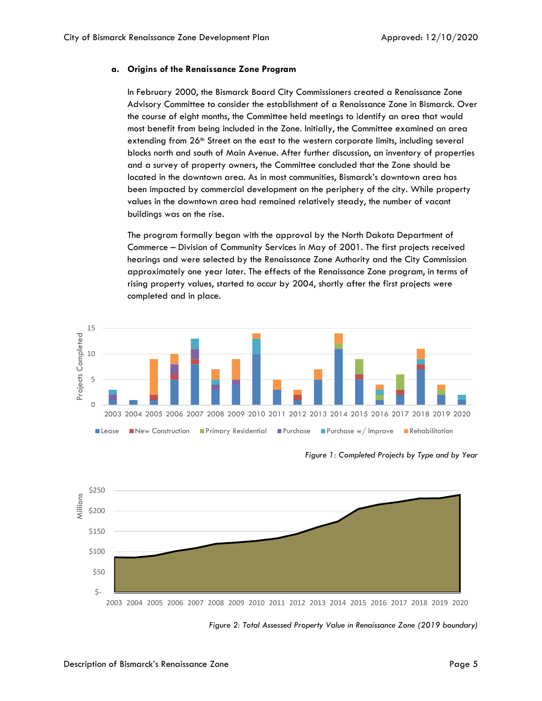#### **a. Origins of the Renaissance Zone Program**

In February 2000, the Bismarck Board City Commissioners created a Renaissance Zone Advisory Committee to consider the establishment of a Renaissance Zone in Bismarck. Over the course of eight months, the Committee held meetings to identify an area that would most benefit from being included in the Zone. Initially, the Committee examined an area extending from 26<sup>th</sup> Street on the east to the western corporate limits, including several blocks north and south of Main Avenue. After further discussion, an inventory of properties and a survey of property owners, the Committee concluded that the Zone should be located in the downtown area. As in most communities, Bismarck's downtown area has been impacted by commercial development on the periphery of the city. While property values in the downtown area had remained relatively steady, the number of vacant buildings was on the rise.

The program formally began with the approval by the North Dakota Department of Commerce – Division of Community Services in May of 2001. The first projects received hearings and were selected by the Renaissance Zone Authority and the City Commission approximately one year later. The effects of the Renaissance Zone program, in terms of rising property values, started to occur by 2004, shortly after the first projects were completed and in place.



*Figure 1: Completed Projects by Type and by Year*



*Figure 2: Total Assessed Property Value in Renaissance Zone (2019 boundary)*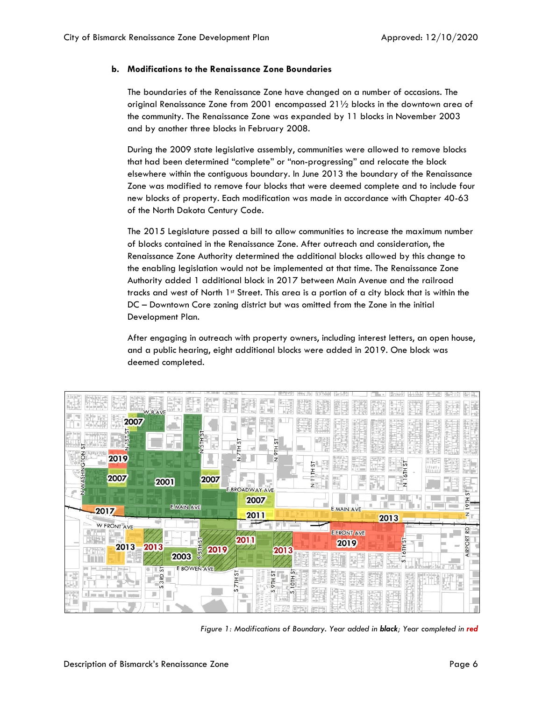#### **b. Modifications to the Renaissance Zone Boundaries**

The boundaries of the Renaissance Zone have changed on a number of occasions. The original Renaissance Zone from 2001 encompassed 21½ blocks in the downtown area of the community. The Renaissance Zone was expanded by 11 blocks in November 2003 and by another three blocks in February 2008.

During the 2009 state legislative assembly, communities were allowed to remove blocks that had been determined "complete" or "non-progressing" and relocate the block elsewhere within the contiguous boundary. In June 2013 the boundary of the Renaissance Zone was modified to remove four blocks that were deemed complete and to include four new blocks of property. Each modification was made in accordance with Chapter 40-63 of the North Dakota Century Code.

The 2015 Legislature passed a bill to allow communities to increase the maximum number of blocks contained in the Renaissance Zone. After outreach and consideration, the Renaissance Zone Authority determined the additional blocks allowed by this change to the enabling legislation would not be implemented at that time. The Renaissance Zone Authority added 1 additional block in 2017 between Main Avenue and the railroad tracks and west of North 1st Street. This area is a portion of a city block that is within the DC – Downtown Core zoning district but was omitted from the Zone in the initial Development Plan.

After engaging in outreach with property owners, including interest letters, an open house, and a public hearing, eight additional blocks were added in 2019. One block was deemed completed.



*Figure 1: Modifications of Boundary. Year added in black; Year completed in red*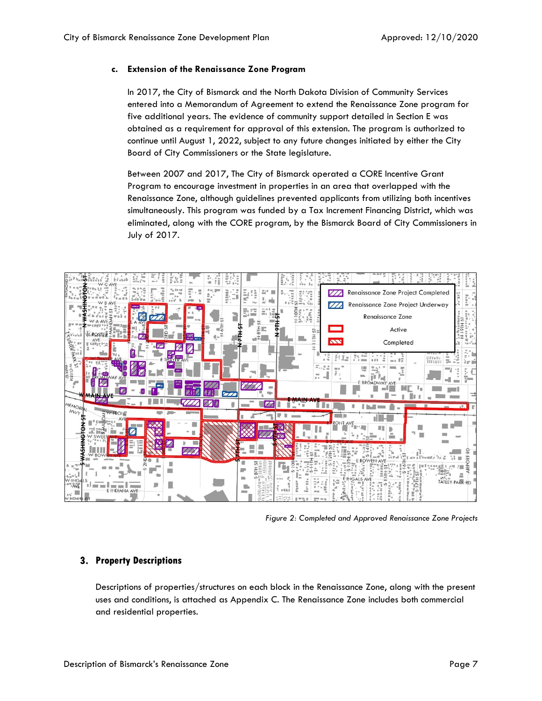#### **c. Extension of the Renaissance Zone Program**

In 2017, the City of Bismarck and the North Dakota Division of Community Services entered into a Memorandum of Agreement to extend the Renaissance Zone program for five additional years. The evidence of community support detailed in Section E was obtained as a requirement for approval of this extension. The program is authorized to continue until August 1, 2022, subject to any future changes initiated by either the City Board of City Commissioners or the State legislature.

Between 2007 and 2017, The City of Bismarck operated a CORE Incentive Grant Program to encourage investment in properties in an area that overlapped with the Renaissance Zone, although guidelines prevented applicants from utilizing both incentives simultaneously. This program was funded by a Tax Increment Financing District, which was eliminated, along with the CORE program, by the Bismarck Board of City Commissioners in July of 2017.



*Figure 2: Completed and Approved Renaissance Zone Projects*

### <span id="page-7-0"></span>**Property Descriptions**

Descriptions of properties/structures on each block in the Renaissance Zone, along with the present uses and conditions, is attached as Appendix C. The Renaissance Zone includes both commercial and residential properties.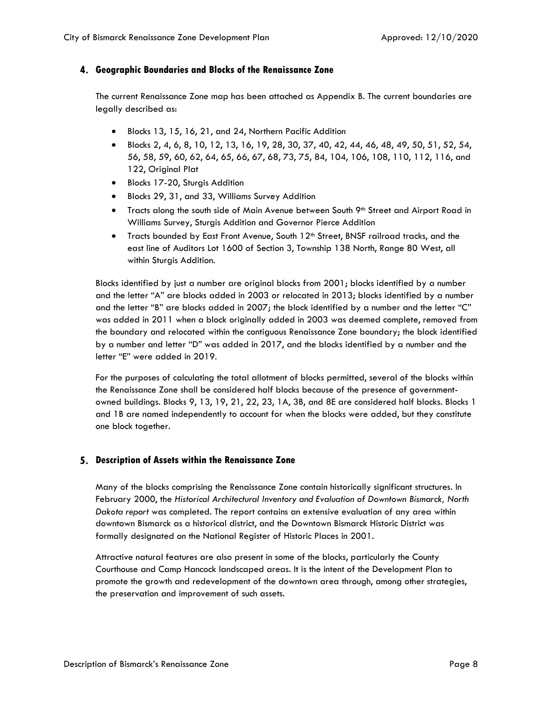#### <span id="page-8-0"></span>**Geographic Boundaries and Blocks of the Renaissance Zone**

The current Renaissance Zone map has been attached as Appendix B. The current boundaries are legally described as:

- Blocks 13, 15, 16, 21, and 24, Northern Pacific Addition
- Blocks 2, 4, 6, 8, 10, 12, 13, 16, 19, 28, 30, 37, 40, 42, 44, 46, 48, 49, 50, 51, 52, 54, 56, 58, 59, 60, 62, 64, 65, 66, 67, 68, 73, 75, 84, 104, 106, 108, 110, 112, 116, and 122, Original Plat
- Blocks 17-20, Sturgis Addition
- Blocks 29, 31, and 33, Williams Survey Addition
- Tracts along the south side of Main Avenue between South 9<sup>th</sup> Street and Airport Road in Williams Survey, Sturgis Addition and Governor Pierce Addition
- Tracts bounded by East Front Avenue, South 12<sup>th</sup> Street, BNSF railroad tracks, and the east line of Auditors Lot 1600 of Section 3, Township 138 North, Range 80 West, all within Sturgis Addition.

Blocks identified by just a number are original blocks from 2001; blocks identified by a number and the letter "A" are blocks added in 2003 or relocated in 2013; blocks identified by a number and the letter "B" are blocks added in 2007; the block identified by a number and the letter "C" was added in 2011 when a block originally added in 2003 was deemed complete, removed from the boundary and relocated within the contiguous Renaissance Zone boundary; the block identified by a number and letter "D" was added in 2017, and the blocks identified by a number and the letter "E" were added in 2019.

For the purposes of calculating the total allotment of blocks permitted, several of the blocks within the Renaissance Zone shall be considered half blocks because of the presence of governmentowned buildings. Blocks 9, 13, 19, 21, 22, 23, 1A, 3B, and 8E are considered half blocks. Blocks 1 and 1B are named independently to account for when the blocks were added, but they constitute one block together.

#### <span id="page-8-1"></span>**Description of Assets within the Renaissance Zone**

Many of the blocks comprising the Renaissance Zone contain historically significant structures. In February 2000, the *Historical Architectural Inventory and Evaluation of Downtown Bismarck, North Dakota report* was completed. The report contains an extensive evaluation of any area within downtown Bismarck as a historical district, and the Downtown Bismarck Historic District was formally designated on the National Register of Historic Places in 2001.

Attractive natural features are also present in some of the blocks, particularly the County Courthouse and Camp Hancock landscaped areas. It is the intent of the Development Plan to promote the growth and redevelopment of the downtown area through, among other strategies, the preservation and improvement of such assets.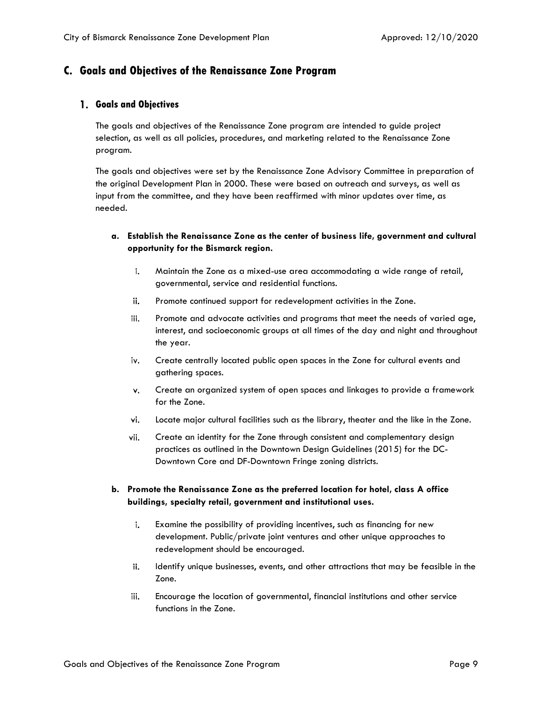# <span id="page-9-0"></span>**C. Goals and Objectives of the Renaissance Zone Program**

#### <span id="page-9-1"></span>**Goals and Objectives**

The goals and objectives of the Renaissance Zone program are intended to guide project selection, as well as all policies, procedures, and marketing related to the Renaissance Zone program.

The goals and objectives were set by the Renaissance Zone Advisory Committee in preparation of the original Development Plan in 2000. These were based on outreach and surveys, as well as input from the committee, and they have been reaffirmed with minor updates over time, as needed.

#### **a. Establish the Renaissance Zone as the center of business life, government and cultural opportunity for the Bismarck region.**

- i. Maintain the Zone as a mixed-use area accommodating a wide range of retail, governmental, service and residential functions.
- ii. Promote continued support for redevelopment activities in the Zone.
- iii. Promote and advocate activities and programs that meet the needs of varied age, interest, and socioeconomic groups at all times of the day and night and throughout the year.
- iv. Create centrally located public open spaces in the Zone for cultural events and gathering spaces.
- v. Create an organized system of open spaces and linkages to provide a framework for the Zone.
- vi. Locate major cultural facilities such as the library, theater and the like in the Zone.
- vii. Create an identity for the Zone through consistent and complementary design practices as outlined in the Downtown Design Guidelines (2015) for the DC-Downtown Core and DF-Downtown Fringe zoning districts.

#### **b. Promote the Renaissance Zone as the preferred location for hotel, class A office buildings, specialty retail, government and institutional uses.**

- i. Examine the possibility of providing incentives, such as financing for new development. Public/private joint ventures and other unique approaches to redevelopment should be encouraged.
- Identify unique businesses, events, and other attractions that may be feasible in the ii. Zone.
- iii. Encourage the location of governmental, financial institutions and other service functions in the Zone.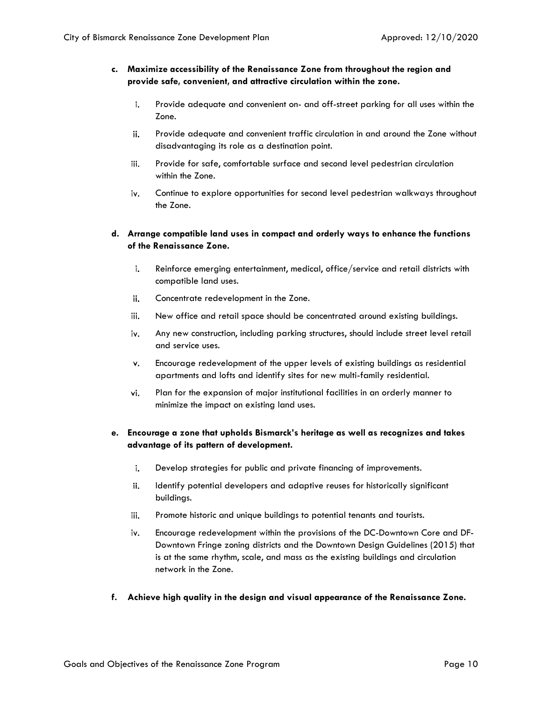#### **c. Maximize accessibility of the Renaissance Zone from throughout the region and provide safe, convenient, and attractive circulation within the zone.**

- $\mathbf{i}$ . Provide adequate and convenient on- and off-street parking for all uses within the Zone.
- ii. Provide adequate and convenient traffic circulation in and around the Zone without disadvantaging its role as a destination point.
- iii. Provide for safe, comfortable surface and second level pedestrian circulation within the Zone.
- iv. Continue to explore opportunities for second level pedestrian walkways throughout the Zone.

#### **d. Arrange compatible land uses in compact and orderly ways to enhance the functions of the Renaissance Zone.**

- i. Reinforce emerging entertainment, medical, office/service and retail districts with compatible land uses.
- ii. Concentrate redevelopment in the Zone.
- iii. New office and retail space should be concentrated around existing buildings.
- iv. Any new construction, including parking structures, should include street level retail and service uses.
- Encourage redevelopment of the upper levels of existing buildings as residential v. apartments and lofts and identify sites for new multi-family residential.
- vi. Plan for the expansion of major institutional facilities in an orderly manner to minimize the impact on existing land uses.

#### **e. Encourage a zone that upholds Bismarck's heritage as well as recognizes and takes advantage of its pattern of development.**

- i. Develop strategies for public and private financing of improvements.
- ii. Identify potential developers and adaptive reuses for historically significant buildings.
- iii. Promote historic and unique buildings to potential tenants and tourists.
- iv. Encourage redevelopment within the provisions of the DC-Downtown Core and DF-Downtown Fringe zoning districts and the Downtown Design Guidelines (2015) that is at the same rhythm, scale, and mass as the existing buildings and circulation network in the Zone.
- **f. Achieve high quality in the design and visual appearance of the Renaissance Zone.**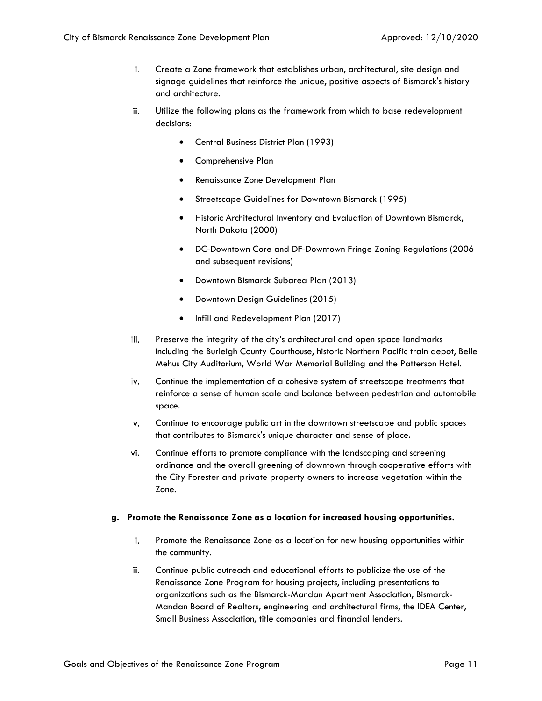- i. Create a Zone framework that establishes urban, architectural, site design and signage guidelines that reinforce the unique, positive aspects of Bismarck's history and architecture.
- ii. Utilize the following plans as the framework from which to base redevelopment decisions:
	- Central Business District Plan (1993)
	- Comprehensive Plan
	- Renaissance Zone Development Plan
	- Streetscape Guidelines for Downtown Bismarck (1995)
	- Historic Architectural Inventory and Evaluation of Downtown Bismarck, North Dakota (2000)
	- DC-Downtown Core and DF-Downtown Fringe Zoning Regulations (2006 and subsequent revisions)
	- Downtown Bismarck Subarea Plan (2013)
	- Downtown Design Guidelines (2015)
	- Infill and Redevelopment Plan (2017)
- Preserve the integrity of the city's architectural and open space landmarks iii. including the Burleigh County Courthouse, historic Northern Pacific train depot, Belle Mehus City Auditorium, World War Memorial Building and the Patterson Hotel.
- iv. Continue the implementation of a cohesive system of streetscape treatments that reinforce a sense of human scale and balance between pedestrian and automobile space.
- v. Continue to encourage public art in the downtown streetscape and public spaces that contributes to Bismarck's unique character and sense of place.
- Continue efforts to promote compliance with the landscaping and screening vi. ordinance and the overall greening of downtown through cooperative efforts with the City Forester and private property owners to increase vegetation within the Zone.

#### **g. Promote the Renaissance Zone as a location for increased housing opportunities.**

- i. Promote the Renaissance Zone as a location for new housing opportunities within the community.
- ii. Continue public outreach and educational efforts to publicize the use of the Renaissance Zone Program for housing projects, including presentations to organizations such as the Bismarck-Mandan Apartment Association, Bismarck-Mandan Board of Realtors, engineering and architectural firms, the IDEA Center, Small Business Association, title companies and financial lenders.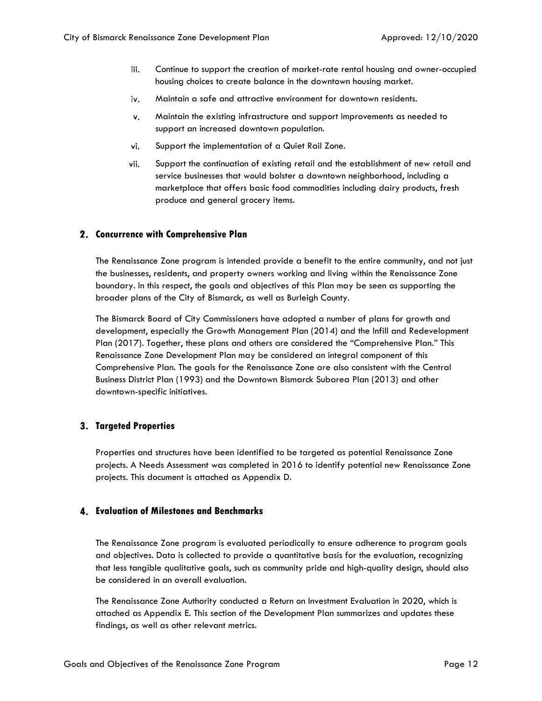- iii. Continue to support the creation of market-rate rental housing and owner-occupied housing choices to create balance in the downtown housing market.
- Maintain a safe and attractive environment for downtown residents. iv.
- Maintain the existing infrastructure and support improvements as needed to v. support an increased downtown population.
- vi. Support the implementation of a Quiet Rail Zone.
- vii. Support the continuation of existing retail and the establishment of new retail and service businesses that would bolster a downtown neighborhood, including a marketplace that offers basic food commodities including dairy products, fresh produce and general grocery items.

#### <span id="page-12-0"></span>**Concurrence with Comprehensive Plan**

The Renaissance Zone program is intended provide a benefit to the entire community, and not just the businesses, residents, and property owners working and living within the Renaissance Zone boundary. In this respect, the goals and objectives of this Plan may be seen as supporting the broader plans of the City of Bismarck, as well as Burleigh County.

The Bismarck Board of City Commissioners have adopted a number of plans for growth and development, especially the Growth Management Plan (2014) and the Infill and Redevelopment Plan (2017). Together, these plans and others are considered the "Comprehensive Plan." This Renaissance Zone Development Plan may be considered an integral component of this Comprehensive Plan. The goals for the Renaissance Zone are also consistent with the Central Business District Plan (1993) and the Downtown Bismarck Subarea Plan (2013) and other downtown-specific initiatives.

#### <span id="page-12-1"></span>**Targeted Properties**

Properties and structures have been identified to be targeted as potential Renaissance Zone projects. A Needs Assessment was completed in 2016 to identify potential new Renaissance Zone projects. This document is attached as Appendix D.

#### <span id="page-12-2"></span>**Evaluation of Milestones and Benchmarks**

The Renaissance Zone program is evaluated periodically to ensure adherence to program goals and objectives. Data is collected to provide a quantitative basis for the evaluation, recognizing that less tangible qualitative goals, such as community pride and high-quality design, should also be considered in an overall evaluation.

The Renaissance Zone Authority conducted a Return on Investment Evaluation in 2020, which is attached as Appendix E. This section of the Development Plan summarizes and updates these findings, as well as other relevant metrics.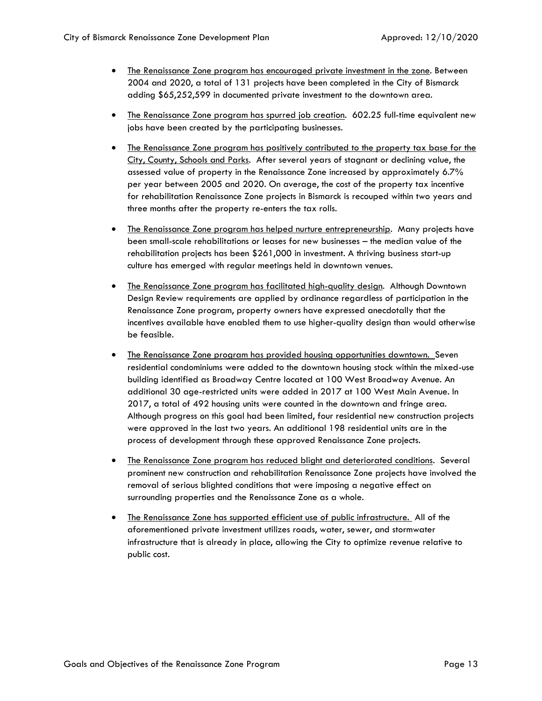- The Renaissance Zone program has encouraged private investment in the zone. Between 2004 and 2020, a total of 131 projects have been completed in the City of Bismarck adding \$65,252,599 in documented private investment to the downtown area.
- The Renaissance Zone program has spurred job creation. 602.25 full-time equivalent new jobs have been created by the participating businesses.
- The Renaissance Zone program has positively contributed to the property tax base for the City, County, Schools and Parks. After several years of stagnant or declining value, the assessed value of property in the Renaissance Zone increased by approximately 6.7% per year between 2005 and 2020. On average, the cost of the property tax incentive for rehabilitation Renaissance Zone projects in Bismarck is recouped within two years and three months after the property re-enters the tax rolls.
- The Renaissance Zone program has helped nurture entrepreneurship. Many projects have been small-scale rehabilitations or leases for new businesses – the median value of the rehabilitation projects has been \$261,000 in investment. A thriving business start-up culture has emerged with regular meetings held in downtown venues.
- The Renaissance Zone program has facilitated high-quality design. Although Downtown Design Review requirements are applied by ordinance regardless of participation in the Renaissance Zone program, property owners have expressed anecdotally that the incentives available have enabled them to use higher-quality design than would otherwise be feasible.
- The Renaissance Zone program has provided housing opportunities downtown. Seven residential condominiums were added to the downtown housing stock within the mixed-use building identified as Broadway Centre located at 100 West Broadway Avenue. An additional 30 age-restricted units were added in 2017 at 100 West Main Avenue. In 2017, a total of 492 housing units were counted in the downtown and fringe area. Although progress on this goal had been limited, four residential new construction projects were approved in the last two years. An additional 198 residential units are in the process of development through these approved Renaissance Zone projects.
- The Renaissance Zone program has reduced blight and deteriorated conditions. Several prominent new construction and rehabilitation Renaissance Zone projects have involved the removal of serious blighted conditions that were imposing a negative effect on surrounding properties and the Renaissance Zone as a whole.
- The Renaissance Zone has supported efficient use of public infrastructure. All of the aforementioned private investment utilizes roads, water, sewer, and stormwater infrastructure that is already in place, allowing the City to optimize revenue relative to public cost.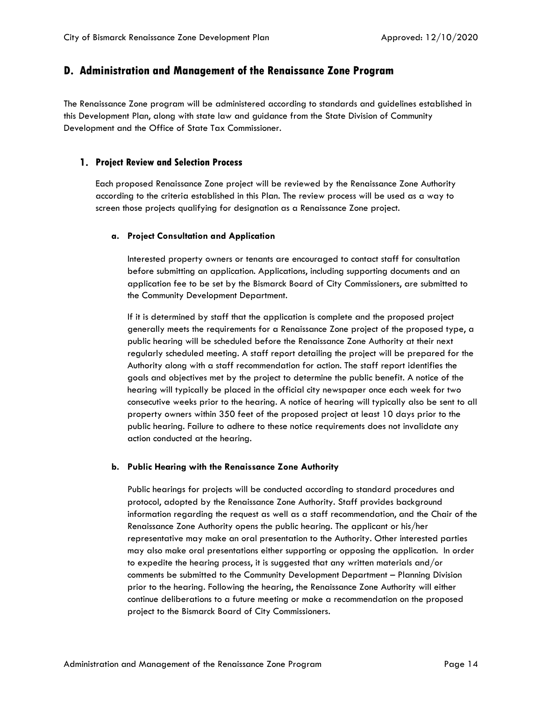### <span id="page-14-0"></span>**D. Administration and Management of the Renaissance Zone Program**

The Renaissance Zone program will be administered according to standards and guidelines established in this Development Plan, along with state law and guidance from the State Division of Community Development and the Office of State Tax Commissioner.

#### <span id="page-14-1"></span>**Project Review and Selection Process**

Each proposed Renaissance Zone project will be reviewed by the Renaissance Zone Authority according to the criteria established in this Plan. The review process will be used as a way to screen those projects qualifying for designation as a Renaissance Zone project.

#### **a. Project Consultation and Application**

Interested property owners or tenants are encouraged to contact staff for consultation before submitting an application. Applications, including supporting documents and an application fee to be set by the Bismarck Board of City Commissioners, are submitted to the Community Development Department.

If it is determined by staff that the application is complete and the proposed project generally meets the requirements for a Renaissance Zone project of the proposed type, a public hearing will be scheduled before the Renaissance Zone Authority at their next regularly scheduled meeting. A staff report detailing the project will be prepared for the Authority along with a staff recommendation for action. The staff report identifies the goals and objectives met by the project to determine the public benefit. A notice of the hearing will typically be placed in the official city newspaper once each week for two consecutive weeks prior to the hearing. A notice of hearing will typically also be sent to all property owners within 350 feet of the proposed project at least 10 days prior to the public hearing. Failure to adhere to these notice requirements does not invalidate any action conducted at the hearing.

#### **b. Public Hearing with the Renaissance Zone Authority**

Public hearings for projects will be conducted according to standard procedures and protocol, adopted by the Renaissance Zone Authority. Staff provides background information regarding the request as well as a staff recommendation, and the Chair of the Renaissance Zone Authority opens the public hearing. The applicant or his/her representative may make an oral presentation to the Authority. Other interested parties may also make oral presentations either supporting or opposing the application. In order to expedite the hearing process, it is suggested that any written materials and/or comments be submitted to the Community Development Department – Planning Division prior to the hearing. Following the hearing, the Renaissance Zone Authority will either continue deliberations to a future meeting or make a recommendation on the proposed project to the Bismarck Board of City Commissioners.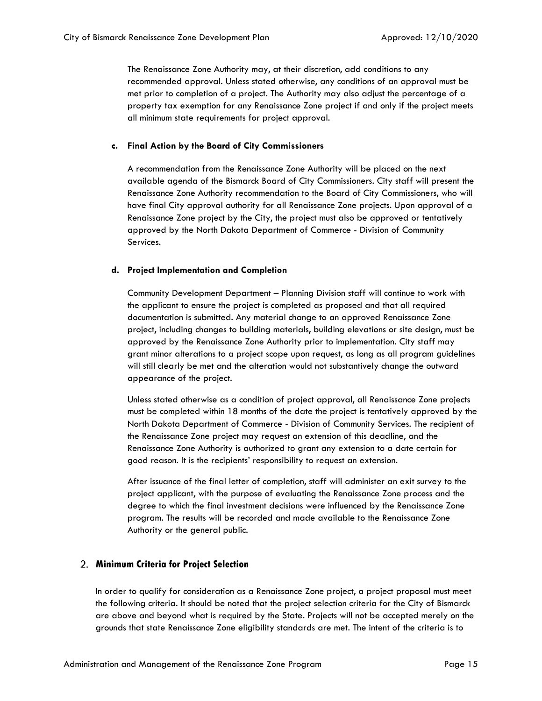The Renaissance Zone Authority may, at their discretion, add conditions to any recommended approval. Unless stated otherwise, any conditions of an approval must be met prior to completion of a project. The Authority may also adjust the percentage of a property tax exemption for any Renaissance Zone project if and only if the project meets all minimum state requirements for project approval.

#### **c. Final Action by the Board of City Commissioners**

A recommendation from the Renaissance Zone Authority will be placed on the next available agenda of the Bismarck Board of City Commissioners. City staff will present the Renaissance Zone Authority recommendation to the Board of City Commissioners, who will have final City approval authority for all Renaissance Zone projects. Upon approval of a Renaissance Zone project by the City, the project must also be approved or tentatively approved by the North Dakota Department of Commerce - Division of Community Services.

#### **d. Project Implementation and Completion**

Community Development Department – Planning Division staff will continue to work with the applicant to ensure the project is completed as proposed and that all required documentation is submitted. Any material change to an approved Renaissance Zone project, including changes to building materials, building elevations or site design, must be approved by the Renaissance Zone Authority prior to implementation. City staff may grant minor alterations to a project scope upon request, as long as all program guidelines will still clearly be met and the alteration would not substantively change the outward appearance of the project.

Unless stated otherwise as a condition of project approval, all Renaissance Zone projects must be completed within 18 months of the date the project is tentatively approved by the North Dakota Department of Commerce - Division of Community Services. The recipient of the Renaissance Zone project may request an extension of this deadline, and the Renaissance Zone Authority is authorized to grant any extension to a date certain for good reason. It is the recipients' responsibility to request an extension.

After issuance of the final letter of completion, staff will administer an exit survey to the project applicant, with the purpose of evaluating the Renaissance Zone process and the degree to which the final investment decisions were influenced by the Renaissance Zone program. The results will be recorded and made available to the Renaissance Zone Authority or the general public.

#### <span id="page-15-0"></span>**Minimum Criteria for Project Selection**

In order to qualify for consideration as a Renaissance Zone project, a project proposal must meet the following criteria. It should be noted that the project selection criteria for the City of Bismarck are above and beyond what is required by the State. Projects will not be accepted merely on the grounds that state Renaissance Zone eligibility standards are met. The intent of the criteria is to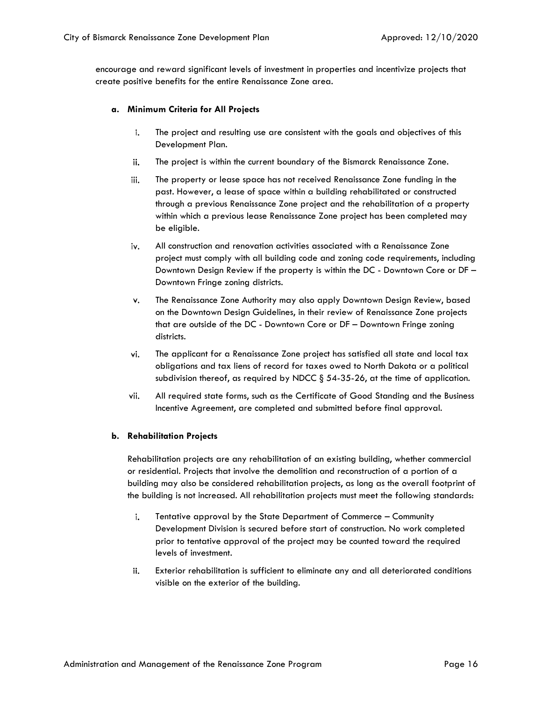encourage and reward significant levels of investment in properties and incentivize projects that create positive benefits for the entire Renaissance Zone area.

#### **a. Minimum Criteria for All Projects**

- i. The project and resulting use are consistent with the goals and objectives of this Development Plan.
- ii. The project is within the current boundary of the Bismarck Renaissance Zone.
- iii. The property or lease space has not received Renaissance Zone funding in the past. However, a lease of space within a building rehabilitated or constructed through a previous Renaissance Zone project and the rehabilitation of a property within which a previous lease Renaissance Zone project has been completed may be eligible.
- iv. All construction and renovation activities associated with a Renaissance Zone project must comply with all building code and zoning code requirements, including Downtown Design Review if the property is within the DC - Downtown Core or DF – Downtown Fringe zoning districts.
- The Renaissance Zone Authority may also apply Downtown Design Review, based v. on the Downtown Design Guidelines, in their review of Renaissance Zone projects that are outside of the DC - Downtown Core or DF – Downtown Fringe zoning districts.
- vi. The applicant for a Renaissance Zone project has satisfied all state and local tax obligations and tax liens of record for taxes owed to North Dakota or a political subdivision thereof, as required by NDCC  $\S$  54-35-26, at the time of application.
- vii. All required state forms, such as the Certificate of Good Standing and the Business Incentive Agreement, are completed and submitted before final approval.

#### **b. Rehabilitation Projects**

Rehabilitation projects are any rehabilitation of an existing building, whether commercial or residential. Projects that involve the demolition and reconstruction of a portion of a building may also be considered rehabilitation projects, as long as the overall footprint of the building is not increased. All rehabilitation projects must meet the following standards:

- i. Tentative approval by the State Department of Commerce – Community Development Division is secured before start of construction. No work completed prior to tentative approval of the project may be counted toward the required levels of investment.
- ii. Exterior rehabilitation is sufficient to eliminate any and all deteriorated conditions visible on the exterior of the building.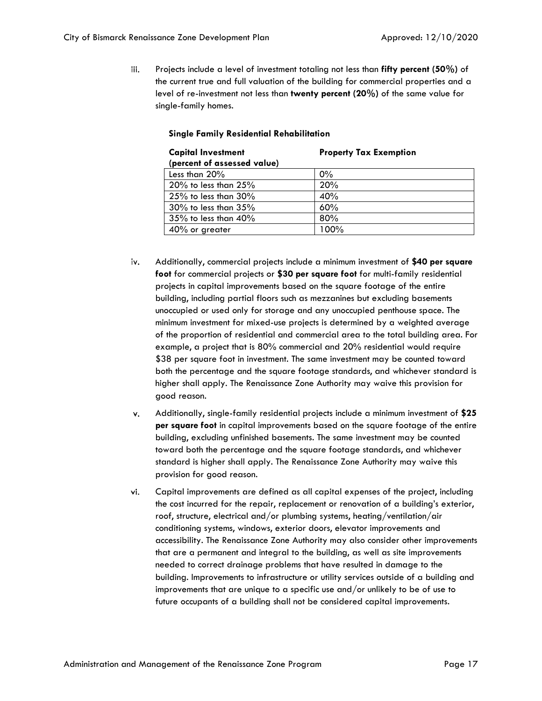iii. Projects include a level of investment totaling not less than **fifty percent (50%)** of the current true and full valuation of the building for commercial properties and a level of re-investment not less than **twenty percent (20%)** of the same value for single-family homes.

| <b>Capital Investment</b><br>(percent of assessed value) | <b>Property Tax Exemption</b> |
|----------------------------------------------------------|-------------------------------|
| Less than 20%                                            | $0\%$                         |
| $20\%$ to less than $25\%$                               | 20%                           |
| $25\%$ to less than $30\%$                               | 40%                           |
| $30\%$ to less than $35\%$                               | 60%                           |
| 35% to less than 40%                                     | 80%                           |
| 40% or greater                                           | 100%                          |

#### **Single Family Residential Rehabilitation**

- iv. Additionally, commercial projects include a minimum investment of **\$40 per square foot** for commercial projects or **\$30 per square foot** for multi-family residential projects in capital improvements based on the square footage of the entire building, including partial floors such as mezzanines but excluding basements unoccupied or used only for storage and any unoccupied penthouse space. The minimum investment for mixed-use projects is determined by a weighted average of the proportion of residential and commercial area to the total building area. For example, a project that is 80% commercial and 20% residential would require \$38 per square foot in investment. The same investment may be counted toward both the percentage and the square footage standards, and whichever standard is higher shall apply. The Renaissance Zone Authority may waive this provision for good reason.
- Additionally, single-family residential projects include a minimum investment of **\$25**  v. **per square foot** in capital improvements based on the square footage of the entire building, excluding unfinished basements. The same investment may be counted toward both the percentage and the square footage standards, and whichever standard is higher shall apply. The Renaissance Zone Authority may waive this provision for good reason.
- vi. Capital improvements are defined as all capital expenses of the project, including the cost incurred for the repair, replacement or renovation of a building's exterior, roof, structure, electrical and/or plumbing systems, heating/ventilation/air conditioning systems, windows, exterior doors, elevator improvements and accessibility. The Renaissance Zone Authority may also consider other improvements that are a permanent and integral to the building, as well as site improvements needed to correct drainage problems that have resulted in damage to the building. Improvements to infrastructure or utility services outside of a building and improvements that are unique to a specific use and/or unlikely to be of use to future occupants of a building shall not be considered capital improvements.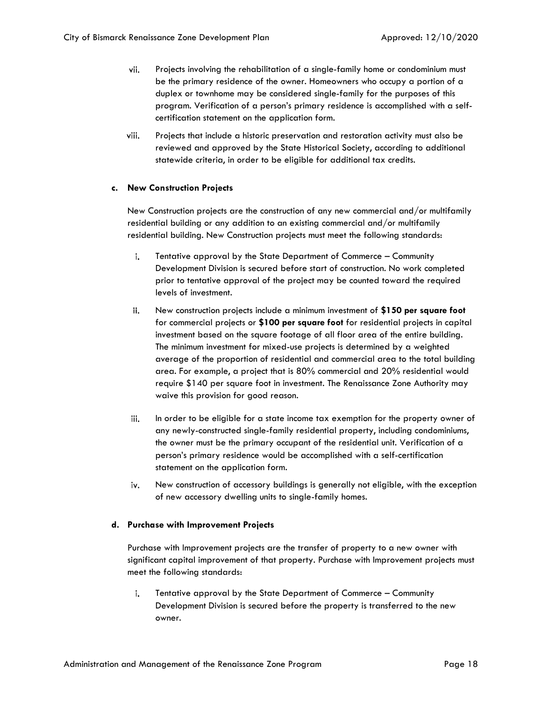- vii. Projects involving the rehabilitation of a single-family home or condominium must be the primary residence of the owner. Homeowners who occupy a portion of a duplex or townhome may be considered single-family for the purposes of this program. Verification of a person's primary residence is accomplished with a selfcertification statement on the application form.
- viii. Projects that include a historic preservation and restoration activity must also be reviewed and approved by the State Historical Society, according to additional statewide criteria, in order to be eligible for additional tax credits.

#### **c. New Construction Projects**

New Construction projects are the construction of any new commercial and/or multifamily residential building or any addition to an existing commercial and/or multifamily residential building. New Construction projects must meet the following standards:

- Tentative approval by the State Department of Commerce Community i. Development Division is secured before start of construction. No work completed prior to tentative approval of the project may be counted toward the required levels of investment.
- ii. New construction projects include a minimum investment of **\$150 per square foot** for commercial projects or **\$100 per square foot** for residential projects in capital investment based on the square footage of all floor area of the entire building. The minimum investment for mixed-use projects is determined by a weighted average of the proportion of residential and commercial area to the total building area. For example, a project that is 80% commercial and 20% residential would require \$140 per square foot in investment. The Renaissance Zone Authority may waive this provision for good reason.
- iii. In order to be eligible for a state income tax exemption for the property owner of any newly-constructed single-family residential property, including condominiums, the owner must be the primary occupant of the residential unit. Verification of a person's primary residence would be accomplished with a self-certification statement on the application form.
- New construction of accessory buildings is generally not eligible, with the exception iv. of new accessory dwelling units to single-family homes.

#### **d. Purchase with Improvement Projects**

Purchase with Improvement projects are the transfer of property to a new owner with significant capital improvement of that property. Purchase with Improvement projects must meet the following standards:

i. Tentative approval by the State Department of Commerce – Community Development Division is secured before the property is transferred to the new owner.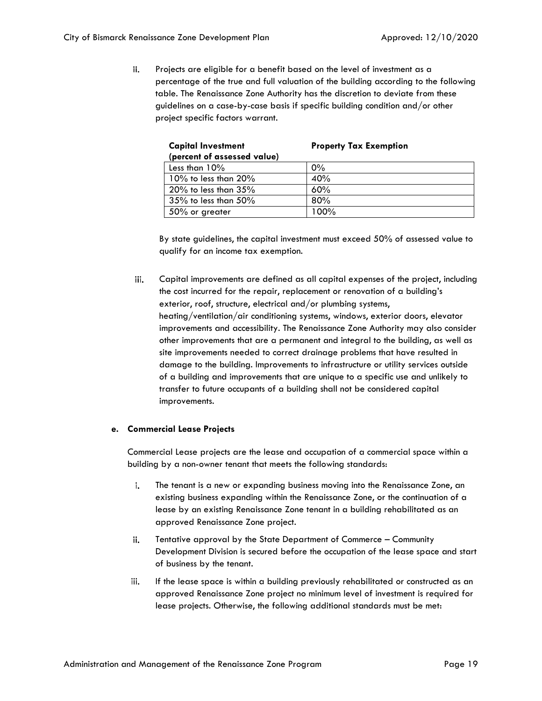ii. Projects are eligible for a benefit based on the level of investment as a percentage of the true and full valuation of the building according to the following table. The Renaissance Zone Authority has the discretion to deviate from these guidelines on a case-by-case basis if specific building condition and/or other project specific factors warrant.

| <b>Capital Investment</b>   | <b>Property Tax Exemption</b> |
|-----------------------------|-------------------------------|
| (percent of assessed value) |                               |
| Less than $10\%$            | $0\%$                         |
| $10\%$ to less than $20\%$  | 40%                           |
| $20\%$ to less than $35\%$  | 60%                           |
| $35\%$ to less than $50\%$  | 80%                           |
| 50% or greater              | 100%                          |
|                             |                               |

By state guidelines, the capital investment must exceed 50% of assessed value to qualify for an income tax exemption.

iii. Capital improvements are defined as all capital expenses of the project, including the cost incurred for the repair, replacement or renovation of a building's exterior, roof, structure, electrical and/or plumbing systems, heating/ventilation/air conditioning systems, windows, exterior doors, elevator improvements and accessibility. The Renaissance Zone Authority may also consider other improvements that are a permanent and integral to the building, as well as site improvements needed to correct drainage problems that have resulted in damage to the building. Improvements to infrastructure or utility services outside of a building and improvements that are unique to a specific use and unlikely to transfer to future occupants of a building shall not be considered capital improvements.

#### **e. Commercial Lease Projects**

Commercial Lease projects are the lease and occupation of a commercial space within a building by a non-owner tenant that meets the following standards:

- i. The tenant is a new or expanding business moving into the Renaissance Zone, an existing business expanding within the Renaissance Zone, or the continuation of a lease by an existing Renaissance Zone tenant in a building rehabilitated as an approved Renaissance Zone project.
- Tentative approval by the State Department of Commerce Community ii. Development Division is secured before the occupation of the lease space and start of business by the tenant.
- iii. If the lease space is within a building previously rehabilitated or constructed as an approved Renaissance Zone project no minimum level of investment is required for lease projects. Otherwise, the following additional standards must be met: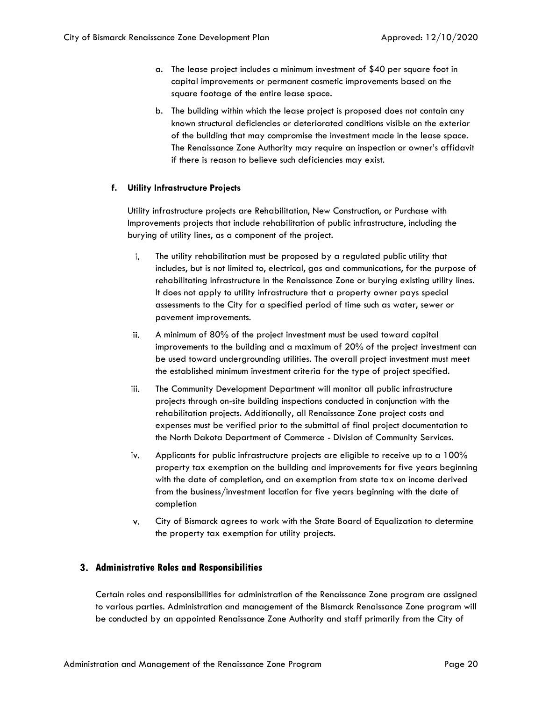- a. The lease project includes a minimum investment of \$40 per square foot in capital improvements or permanent cosmetic improvements based on the square footage of the entire lease space.
- b. The building within which the lease project is proposed does not contain any known structural deficiencies or deteriorated conditions visible on the exterior of the building that may compromise the investment made in the lease space. The Renaissance Zone Authority may require an inspection or owner's affidavit if there is reason to believe such deficiencies may exist.

#### **f. Utility Infrastructure Projects**

Utility infrastructure projects are Rehabilitation, New Construction, or Purchase with Improvements projects that include rehabilitation of public infrastructure, including the burying of utility lines, as a component of the project.

- The utility rehabilitation must be proposed by a regulated public utility that i. includes, but is not limited to, electrical, gas and communications, for the purpose of rehabilitating infrastructure in the Renaissance Zone or burying existing utility lines. It does not apply to utility infrastructure that a property owner pays special assessments to the City for a specified period of time such as water, sewer or pavement improvements.
- ii. A minimum of 80% of the project investment must be used toward capital improvements to the building and a maximum of 20% of the project investment can be used toward undergrounding utilities. The overall project investment must meet the established minimum investment criteria for the type of project specified.
- iii. The Community Development Department will monitor all public infrastructure projects through on-site building inspections conducted in conjunction with the rehabilitation projects. Additionally, all Renaissance Zone project costs and expenses must be verified prior to the submittal of final project documentation to the North Dakota Department of Commerce - Division of Community Services.
- Applicants for public infrastructure projects are eligible to receive up to a 100% iv. property tax exemption on the building and improvements for five years beginning with the date of completion, and an exemption from state tax on income derived from the business/investment location for five years beginning with the date of completion
- City of Bismarck agrees to work with the State Board of Equalization to determine v. the property tax exemption for utility projects.

#### <span id="page-20-0"></span>**Administrative Roles and Responsibilities**

Certain roles and responsibilities for administration of the Renaissance Zone program are assigned to various parties. Administration and management of the Bismarck Renaissance Zone program will be conducted by an appointed Renaissance Zone Authority and staff primarily from the City of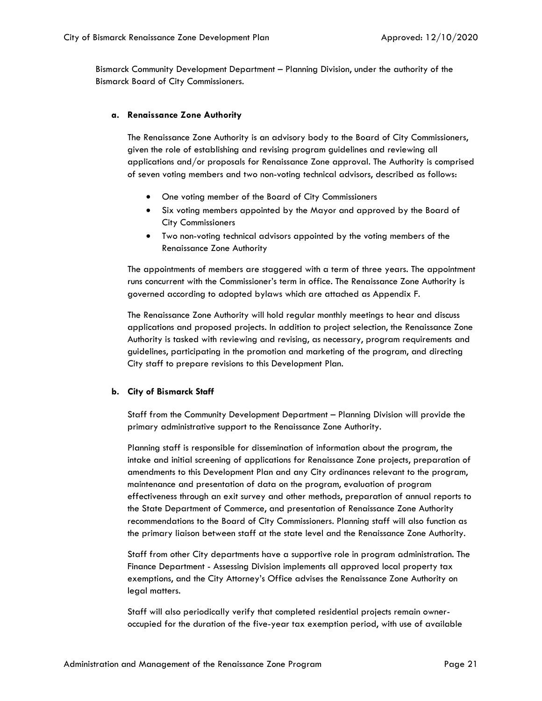Bismarck Community Development Department – Planning Division, under the authority of the Bismarck Board of City Commissioners.

#### **a. Renaissance Zone Authority**

The Renaissance Zone Authority is an advisory body to the Board of City Commissioners, given the role of establishing and revising program guidelines and reviewing all applications and/or proposals for Renaissance Zone approval. The Authority is comprised of seven voting members and two non-voting technical advisors, described as follows:

- One voting member of the Board of City Commissioners
- Six voting members appointed by the Mayor and approved by the Board of City Commissioners
- Two non-voting technical advisors appointed by the voting members of the Renaissance Zone Authority

The appointments of members are staggered with a term of three years. The appointment runs concurrent with the Commissioner's term in office. The Renaissance Zone Authority is governed according to adopted bylaws which are attached as Appendix F.

The Renaissance Zone Authority will hold regular monthly meetings to hear and discuss applications and proposed projects. In addition to project selection, the Renaissance Zone Authority is tasked with reviewing and revising, as necessary, program requirements and guidelines, participating in the promotion and marketing of the program, and directing City staff to prepare revisions to this Development Plan.

#### **b. City of Bismarck Staff**

Staff from the Community Development Department – Planning Division will provide the primary administrative support to the Renaissance Zone Authority.

Planning staff is responsible for dissemination of information about the program, the intake and initial screening of applications for Renaissance Zone projects, preparation of amendments to this Development Plan and any City ordinances relevant to the program, maintenance and presentation of data on the program, evaluation of program effectiveness through an exit survey and other methods, preparation of annual reports to the State Department of Commerce, and presentation of Renaissance Zone Authority recommendations to the Board of City Commissioners. Planning staff will also function as the primary liaison between staff at the state level and the Renaissance Zone Authority.

Staff from other City departments have a supportive role in program administration. The Finance Department - Assessing Division implements all approved local property tax exemptions, and the City Attorney's Office advises the Renaissance Zone Authority on legal matters.

Staff will also periodically verify that completed residential projects remain owneroccupied for the duration of the five-year tax exemption period, with use of available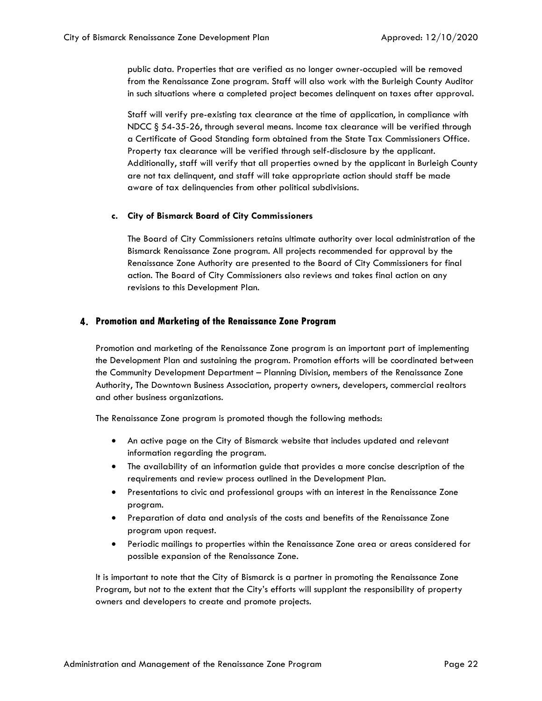public data. Properties that are verified as no longer owner-occupied will be removed from the Renaissance Zone program. Staff will also work with the Burleigh County Auditor in such situations where a completed project becomes delinquent on taxes after approval.

Staff will verify pre-existing tax clearance at the time of application, in compliance with NDCC § 54-35-26, through several means. Income tax clearance will be verified through a Certificate of Good Standing form obtained from the State Tax Commissioners Office. Property tax clearance will be verified through self-disclosure by the applicant. Additionally, staff will verify that all properties owned by the applicant in Burleigh County are not tax delinquent, and staff will take appropriate action should staff be made aware of tax delinquencies from other political subdivisions.

#### **c. City of Bismarck Board of City Commissioners**

The Board of City Commissioners retains ultimate authority over local administration of the Bismarck Renaissance Zone program. All projects recommended for approval by the Renaissance Zone Authority are presented to the Board of City Commissioners for final action. The Board of City Commissioners also reviews and takes final action on any revisions to this Development Plan.

#### <span id="page-22-0"></span>**Promotion and Marketing of the Renaissance Zone Program**

Promotion and marketing of the Renaissance Zone program is an important part of implementing the Development Plan and sustaining the program. Promotion efforts will be coordinated between the Community Development Department – Planning Division, members of the Renaissance Zone Authority, The Downtown Business Association, property owners, developers, commercial realtors and other business organizations.

The Renaissance Zone program is promoted though the following methods:

- An active page on the City of Bismarck website that includes updated and relevant information regarding the program.
- The availability of an information guide that provides a more concise description of the requirements and review process outlined in the Development Plan.
- Presentations to civic and professional groups with an interest in the Renaissance Zone program.
- Preparation of data and analysis of the costs and benefits of the Renaissance Zone program upon request.
- Periodic mailings to properties within the Renaissance Zone area or areas considered for possible expansion of the Renaissance Zone.

It is important to note that the City of Bismarck is a partner in promoting the Renaissance Zone Program, but not to the extent that the City's efforts will supplant the responsibility of property owners and developers to create and promote projects.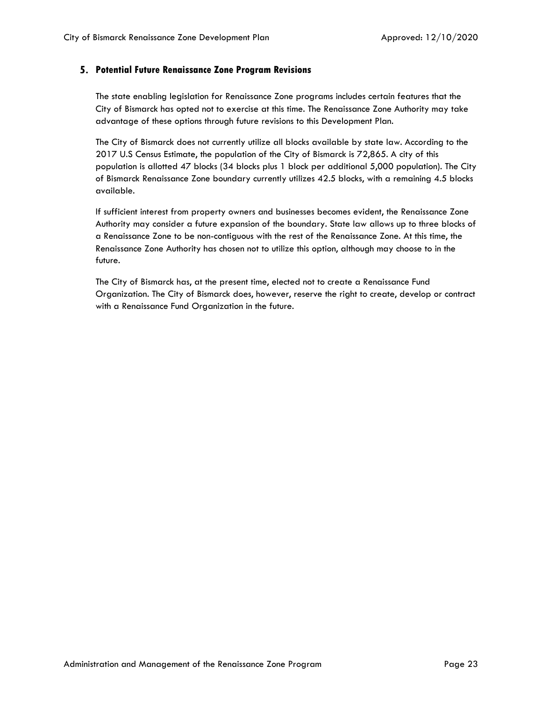#### <span id="page-23-0"></span>**Potential Future Renaissance Zone Program Revisions**

The state enabling legislation for Renaissance Zone programs includes certain features that the City of Bismarck has opted not to exercise at this time. The Renaissance Zone Authority may take advantage of these options through future revisions to this Development Plan.

The City of Bismarck does not currently utilize all blocks available by state law. According to the 2017 U.S Census Estimate, the population of the City of Bismarck is 72,865. A city of this population is allotted 47 blocks (34 blocks plus 1 block per additional 5,000 population). The City of Bismarck Renaissance Zone boundary currently utilizes 42.5 blocks, with a remaining 4.5 blocks available.

If sufficient interest from property owners and businesses becomes evident, the Renaissance Zone Authority may consider a future expansion of the boundary. State law allows up to three blocks of a Renaissance Zone to be non-contiguous with the rest of the Renaissance Zone. At this time, the Renaissance Zone Authority has chosen not to utilize this option, although may choose to in the future.

The City of Bismarck has, at the present time, elected not to create a Renaissance Fund Organization. The City of Bismarck does, however, reserve the right to create, develop or contract with a Renaissance Fund Organization in the future.